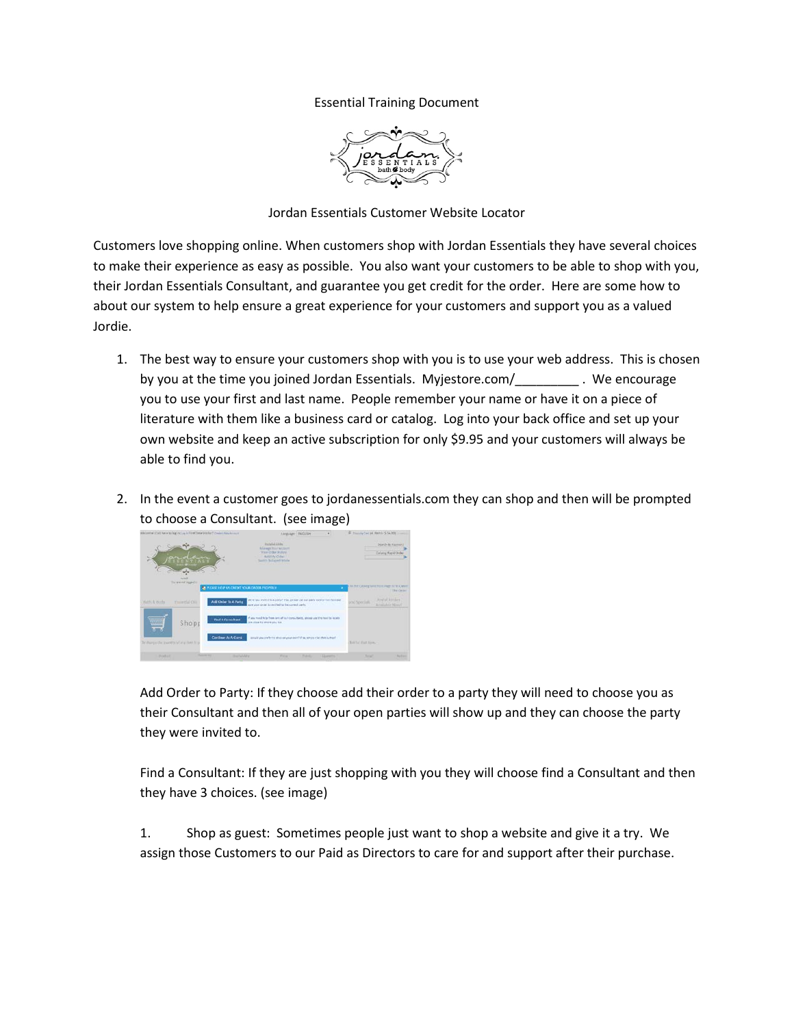## Essential Training Document



Jordan Essentials Customer Website Locator

Customers love shopping online. When customers shop with Jordan Essentials they have several choices to make their experience as easy as possible. You also want your customers to be able to shop with you, their Jordan Essentials Consultant, and guarantee you get credit for the order. Here are some how to about our system to help ensure a great experience for your customers and support you as a valued Jordie.

- 1. The best way to ensure your customers shop with you is to use your web address. This is chosen by you at the time you joined Jordan Essentials. Myjestore.com/\_\_\_\_\_\_\_\_\_ . We encourage you to use your first and last name. People remember your name or have it on a piece of literature with them like a business card or catalog. Log into your back office and set up your own website and keep an active subscription for only \$9.95 and your customers will always be able to find you.
- 2. In the event a customer goes to jordanessentials.com they can shop and then will be prompted to choose a Consultant. (see image)

| Ministerior Child, have belong my low in First Toyot Visitor 7 (twen 4 Now Arrival of |                                             |                                                      | Languager   ENGLISH                                                                                                                     |                |                  | IF fromly be at dams (\$54.00) |                                                    |
|---------------------------------------------------------------------------------------|---------------------------------------------|------------------------------------------------------|-----------------------------------------------------------------------------------------------------------------------------------------|----------------|------------------|--------------------------------|----------------------------------------------------|
|                                                                                       | مست<br>w                                    |                                                      | Hutchet Links<br>Alabase Roll Artsure<br>THIS CITATION SCIENCE<br>HALLMOUN-<br>Southern Bu Extract Schools                              |                |                  |                                | Sued-By Keysurz<br>Calarza Report Drider           |
|                                                                                       | <b>Service</b><br>To an out aged to         | <b>REPLEASE FREE US CREDIT YOUR CROCK FROM DIVI-</b> |                                                                                                                                         |                | ٠                |                                | I BETH CASHIE SHATTON FABE IV M CANNI<br>The Orier |
| Watti, & Works                                                                        | Fairetial Oils                              | Add Onder To A Perty                                 | When you yourself of a party? If no, please use our party locates that his edge.<br>puts your criter is a technol to the correct certs. |                |                  | icid Specials                  | Anythal Brittsbare<br><b>Brightfor News!</b>       |
| <b>WINDOWS</b><br>55                                                                  | Shopp                                       | Find A Consultant                                    | If you meet help from one of our consultants, alongs use the text to locals<br>and stage by smalls and last.                            |                |                  |                                |                                                    |
|                                                                                       | By charged the 'pastern's of any liter by p | Continue Ar.A Card                                   | detailed was deather to about any your year? If he, which it let's this is that of                                                      |                |                  | Bill for that how.             |                                                    |
| Postal                                                                                |                                             | <b><i><u>Address</u></i></b><br><b>Booth Address</b> | <b>This are</b>                                                                                                                         | <b>Tuberto</b> | <b>Illumento</b> | Total                          | Astron                                             |

Add Order to Party: If they choose add their order to a party they will need to choose you as their Consultant and then all of your open parties will show up and they can choose the party they were invited to.

Find a Consultant: If they are just shopping with you they will choose find a Consultant and then they have 3 choices. (see image)

1. Shop as guest: Sometimes people just want to shop a website and give it a try. We assign those Customers to our Paid as Directors to care for and support after their purchase.